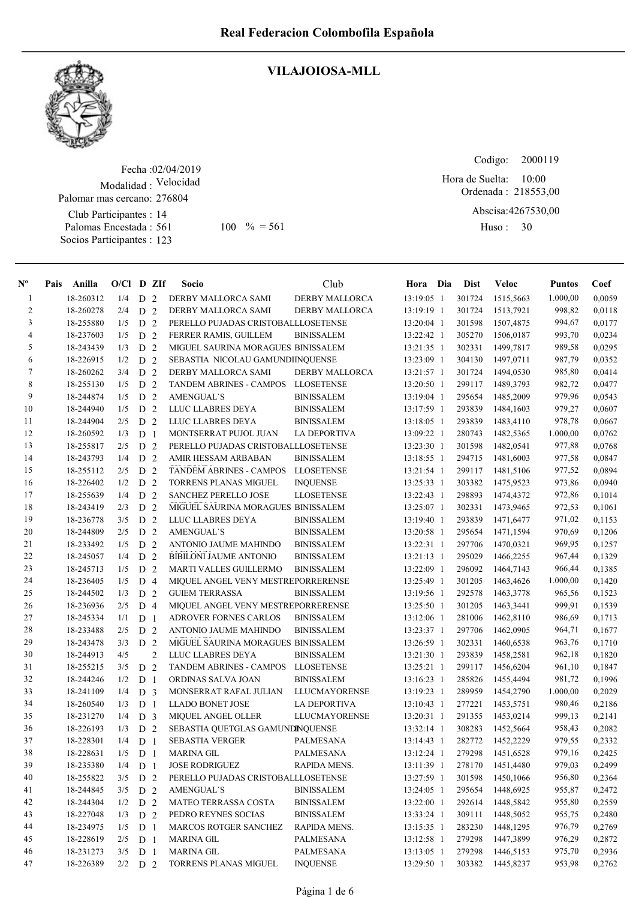

## VILAJOIOSA-MLL

Fecha : 02/04/2019 Modalidad : Velocidad Club Participantes : 14 Palomas Encestada : 561 Socios Participantes : 123 Palomar mas cercano: 276804 561 100 % = 561 Huso: 30

Codigo: 

Ordenada : 218553,00 Abscisa: 4267530,00 Hora de Suelta: 10:00

Huso: 30

| $N^{\circ}$    | Pais | Anilla    | $O/CI$ D ZIf |                |                | Socio                               | Club                  | Hora Dia     | <b>Dist</b> | <b>Veloc</b> | <b>Puntos</b> | Coef   |
|----------------|------|-----------|--------------|----------------|----------------|-------------------------------------|-----------------------|--------------|-------------|--------------|---------------|--------|
| $\mathbf{1}$   |      | 18-260312 | 1/4          | D              | 2              | DERBY MALLORCA SAMI                 | <b>DERBY MALLORCA</b> | 13:19:05 1   | 301724      | 1515.5663    | 1.000,00      | 0,0059 |
| $\overline{c}$ |      | 18-260278 | 2/4          | D <sub>2</sub> |                | DERBY MALLORCA SAMI                 | DERBY MALLORCA        | 13:19:19 1   | 301724      | 1513,7921    | 998,82        | 0,0118 |
| 3              |      | 18-255880 | 1/5          | D <sub>2</sub> |                | PERELLO PUJADAS CRISTOBALLLOSETENSE |                       | 13:20:04 1   | 301598      | 1507,4875    | 994,67        | 0,0177 |
| 4              |      | 18-237603 | 1/5          | D <sub>2</sub> |                | FERRER RAMIS, GUILLEM               | <b>BINISSALEM</b>     | 13:22:42 1   | 305270      | 1506,0187    | 993,70        | 0,0234 |
| 5              |      | 18-243439 | 1/3          | D <sub>2</sub> |                | MIGUEL SAURINA MORAGUES BINISSALEM  |                       | 13:21:35 1   | 302331      | 1499,7817    | 989,58        | 0,0295 |
| 6              |      | 18-226915 | 1/2          | D <sub>2</sub> |                | SEBASTIA NICOLAU GAMUNDIINQUENSE    |                       | 13:23:09 1   | 304130      | 1497,0711    | 987,79        | 0,0352 |
| 7              |      | 18-260262 | 3/4          | D <sub>2</sub> |                | DERBY MALLORCA SAMI                 | <b>DERBY MALLORCA</b> | 13:21:57 1   | 301724      | 1494,0530    | 985,80        | 0,0414 |
| $\,8\,$        |      | 18-255130 | 1/5          | D <sub>2</sub> |                | <b>TANDEM ABRINES - CAMPOS</b>      | <b>LLOSETENSE</b>     | 13:20:50 1   | 299117      | 1489,3793    | 982,72        | 0,0477 |
| 9              |      | 18-244874 | 1/5          | D              | 2              | <b>AMENGUAL'S</b>                   | <b>BINISSALEM</b>     | 13:19:04 1   | 295654      | 1485,2009    | 979,96        | 0,0543 |
| 10             |      | 18-244940 | 1/5          | D              | 2              | LLUC LLABRES DEYA                   | <b>BINISSALEM</b>     | 13:17:59 1   | 293839      | 1484,1603    | 979,27        | 0,0607 |
| 11             |      | 18-244904 | 2/5          | D <sub>2</sub> |                | LLUC LLABRES DEYA                   | <b>BINISSALEM</b>     | 13:18:05 1   | 293839      | 1483,4110    | 978,78        | 0,0667 |
| 12             |      | 18-260592 | 1/3          | D              | $\overline{1}$ | MONTSERRAT PUJOL JUAN               | <b>LA DEPORTIVA</b>   | 13:09:22 1   | 280743      | 1482,5365    | 1.000,00      | 0,0762 |
| 13             |      | 18-255817 | 2/5          | D              | 2              | PERELLO PUJADAS CRISTOBALLLOSETENSE |                       | 13:23:30 1   | 301598      | 1482,0541    | 977,88        | 0,0768 |
| 14             |      | 18-243793 | 1/4          | D              | 2              | AMIR HESSAM ARBABAN                 | <b>BINISSALEM</b>     | 13:18:55 1   | 294715      | 1481,6003    | 977,58        | 0,0847 |
| 15             |      | 18-255112 | 2/5          | D              | 2              | <b>TANDEM ABRINES - CAMPOS</b>      | <b>LLOSETENSE</b>     | 13:21:54 1   | 299117      | 1481,5106    | 977,52        | 0,0894 |
| 16             |      | 18-226402 | 1/2          | D <sub>2</sub> |                | <b>TORRENS PLANAS MIGUEL</b>        | <b>INQUENSE</b>       | 13:25:33 1   | 303382      | 1475,9523    | 973,86        | 0,0940 |
| 17             |      | 18-255639 | 1/4          | D <sub>2</sub> |                | <b>SANCHEZ PERELLO JOSE</b>         | <b>LLOSETENSE</b>     | 13:22:43 1   | 298893      | 1474,4372    | 972,86        | 0,1014 |
| 18             |      | 18-243419 | 2/3          | D <sub>2</sub> |                | MIGUEL SAURINA MORAGUES BINISSALEM  |                       | 13:25:07 1   | 302331      | 1473,9465    | 972,53        | 0,1061 |
| 19             |      | 18-236778 | 3/5          | D <sub>2</sub> |                | LLUC LLABRES DEYA                   | <b>BINISSALEM</b>     | 13:19:40 1   | 293839      | 1471,6477    | 971,02        | 0,1153 |
| 20             |      | 18-244809 | 2/5          | D <sub>2</sub> |                | <b>AMENGUAL'S</b>                   | <b>BINISSALEM</b>     | 13:20:58 1   | 295654      | 1471,1594    | 970,69        | 0,1206 |
| 21             |      | 18-233492 | 1/5          | D              | 2              | ANTONIO JAUME MAHINDO               | <b>BINISSALEM</b>     | 13:22:31 1   | 297706      | 1470,0321    | 969,95        | 0,1257 |
| $22\,$         |      | 18-245057 | 1/4          | D              | 2              | <b>BIBILONI JAUME ANTONIO</b>       | <b>BINISSALEM</b>     | $13:21:13$ 1 | 295029      | 1466,2255    | 967,44        | 0,1329 |
| 23             |      | 18-245713 | 1/5          | D              | 2              | MARTI VALLES GUILLERMO              | <b>BINISSALEM</b>     | 13:22:09 1   | 296092      | 1464,7143    | 966,44        | 0,1385 |
| 24             |      | 18-236405 | 1/5          | D              | $\overline{4}$ | MIQUEL ANGEL VENY MESTREPORRERENSE  |                       | 13:25:49 1   | 301205      | 1463,4626    | 1.000,00      | 0,1420 |
| 25             |      | 18-244502 | 1/3          | D              | 2              | <b>GUIEM TERRASSA</b>               | <b>BINISSALEM</b>     | 13:19:56 1   | 292578      | 1463,3778    | 965,56        | 0,1523 |
| 26             |      | 18-236936 | 2/5          | D              | $\overline{4}$ | MIQUEL ANGEL VENY MESTREPORRERENSE  |                       | 13:25:50 1   | 301205      | 1463,3441    | 999,91        | 0,1539 |
| 27             |      | 18-245334 | 1/1          | D              | $\overline{1}$ | ADROVER FORNES CARLOS               | <b>BINISSALEM</b>     | 13:12:06 1   | 281006      | 1462,8110    | 986,69        | 0,1713 |
| 28             |      | 18-233488 | 2/5          | D <sub>2</sub> |                | ANTONIO JAUME MAHINDO               | <b>BINISSALEM</b>     | 13:23:37 1   | 297706      | 1462,0905    | 964,71        | 0,1677 |
| 29             |      | 18-243478 | 3/3          |                | D <sub>2</sub> | MIGUEL SAURINA MORAGUES BINISSALEM  |                       | 13:26:59 1   | 302331      | 1460,6538    | 963,76        | 0,1710 |
| 30             |      | 18-244913 | 4/5          |                | $\overline{2}$ | LLUC LLABRES DEYA                   | <b>BINISSALEM</b>     | 13:21:30 1   | 293839      | 1458,2581    | 962,18        | 0,1820 |
| 31             |      | 18-255215 | 3/5          | D <sub>2</sub> |                | <b>TANDEM ABRINES - CAMPOS</b>      | <b>LLOSETENSE</b>     | $13:25:21$ 1 | 299117      | 1456,6204    | 961,10        | 0,1847 |
| 32             |      | 18-244246 | 1/2          | D <sub>1</sub> |                | ORDINAS SALVA JOAN                  | <b>BINISSALEM</b>     | 13:16:23 1   | 285826      | 1455,4494    | 981,72        | 0,1996 |
| 33             |      | 18-241109 | 1/4          | D <sub>3</sub> |                | MONSERRAT RAFAL JULIAN              | <b>LLUCMAYORENSE</b>  | 13:19:23 1   | 289959      | 1454,2790    | 1.000,00      | 0,2029 |
| 34             |      | 18-260540 | 1/3          | D              | $\overline{1}$ | <b>LLADO BONET JOSE</b>             | <b>LA DEPORTIVA</b>   | 13:10:43 1   | 277221      | 1453,5751    | 980,46        | 0,2186 |
| 35             |      | 18-231270 | 1/4          |                | D <sub>3</sub> | <b>MIQUEL ANGEL OLLER</b>           | LLUCMAYORENSE         | 13:20:31 1   | 291355      | 1453,0214    | 999,13        | 0,2141 |
| 36             |      | 18-226193 | 1/3          | D              | 2              | SEBASTIA QUETGLAS GAMUNDINQUENSE    |                       | 13:32:14 1   | 308283      | 1452,5664    | 958,43        | 0,2082 |
| 37             |      | 18-228301 | 1/4          | D              | $\overline{1}$ | <b>SEBASTIA VERGER</b>              | PALMESANA             | 13:14:43 1   | 282772      | 1452,2229    | 979,55        | 0,2332 |
| 38             |      | 18-228631 | 1/5          | D <sub>1</sub> |                | <b>MARINA GIL</b>                   | PALMESANA             | 13:12:24 1   | 279298      | 1451,6528    | 979,16        | 0,2425 |
| 39             |      | 18-235380 | 1/4          | D <sub>1</sub> |                | <b>JOSE RODRIGUEZ</b>               | RAPIDA MENS.          | 13:11:39 1   | 278170      | 1451,4480    | 979,03        | 0,2499 |
| 40             |      | 18-255822 | 3/5          | D 2            |                | PERELLO PUJADAS CRISTOBALLLOSETENSE |                       | 13:27:59 1   | 301598      | 1450,1066    | 956,80        | 0,2364 |
| 41             |      | 18-244845 | 3/5          | D <sub>2</sub> |                | <b>AMENGUAL'S</b>                   | <b>BINISSALEM</b>     | 13:24:05 1   | 295654      | 1448,6925    | 955,87        | 0,2472 |
| 42             |      | 18-244304 | 1/2          | D <sub>2</sub> |                | MATEO TERRASSA COSTA                | <b>BINISSALEM</b>     | 13:22:00 1   | 292614      | 1448,5842    | 955,80        | 0,2559 |
| 43             |      | 18-227048 | 1/3          | D <sub>2</sub> |                | PEDRO REYNES SOCIAS                 | <b>BINISSALEM</b>     | 13:33:24 1   | 309111      | 1448,5052    | 955,75        | 0,2480 |
| 44             |      | 18-234975 | 1/5          | D <sub>1</sub> |                | <b>MARCOS ROTGER SANCHEZ</b>        | RAPIDA MENS.          | 13:15:35 1   | 283230      | 1448,1295    | 976,79        | 0,2769 |
| 45             |      | 18-228619 | 2/5          | D <sub>1</sub> |                | <b>MARINA GIL</b>                   | PALMESANA             | 13:12:58 1   | 279298      | 1447,3899    | 976,29        | 0,2872 |
| 46             |      | 18-231273 | 3/5          | D <sub>1</sub> |                | <b>MARINA GIL</b>                   | PALMESANA             | 13:13:05 1   | 279298      | 1446,5153    | 975,70        | 0,2936 |
| 47             |      | 18-226389 | 2/2          | D 2            |                | TORRENS PLANAS MIGUEL               | <b>INQUENSE</b>       | 13:29:50 1   | 303382      | 1445,8237    | 953,98        | 0,2762 |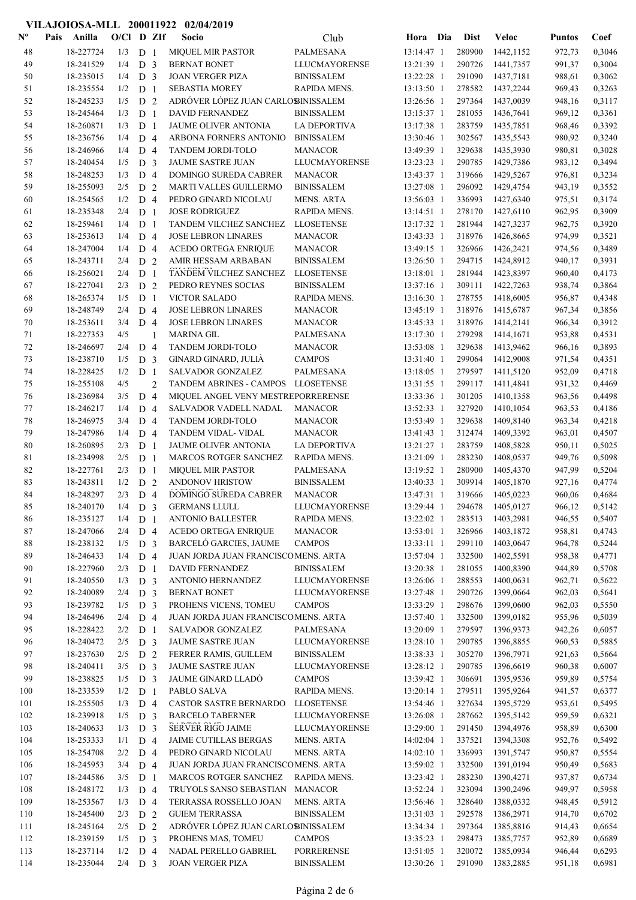# VILAJOIOSA-MLL 200011922 02/04/2019

| $\mathbf{N}^{\mathbf{o}}$ | Pais<br>Anilla         | $O/Cl$ D ZIf     |                                  |                | Socio                                              | Club                                   | Hora Dia                 | <b>Dist</b>      | Veloc                  | <b>Puntos</b>    | Coef             |
|---------------------------|------------------------|------------------|----------------------------------|----------------|----------------------------------------------------|----------------------------------------|--------------------------|------------------|------------------------|------------------|------------------|
| 48                        | 18-227724              | 1/3              | D <sub>1</sub>                   |                | <b>MIQUEL MIR PASTOR</b>                           | PALMESANA                              | 13:14:47 1               | 280900           | 1442,1152              | 972,73           | 0,3046           |
| 49                        | 18-241529              | 1/4              | D <sub>3</sub>                   |                | <b>BERNAT BONET</b>                                | <b>LLUCMAYORENSE</b>                   | 13:21:39 1               | 290726           | 1441,7357              | 991,37           | 0,3004           |
| 50                        | 18-235015              | 1/4              | D <sub>3</sub>                   |                | <b>JOAN VERGER PIZA</b>                            | <b>BINISSALEM</b>                      | 13:22:28 1               | 291090           | 1437,7181              | 988,61           | 0,3062           |
| 51                        | 18-235554              | 1/2              | D <sub>1</sub>                   |                | <b>SEBASTIA MOREY</b>                              | RAPIDA MENS.                           | 13:13:50 1               | 278582           | 1437,2244              | 969,43           | 0,3263           |
| 52                        | 18-245233              | 1/5              | D <sub>2</sub>                   |                | ADRÓVER LÓPEZ JUAN CARLOBINISSALEM                 |                                        | 13:26:56 1               | 297364           | 1437,0039              | 948,16           | 0,3117           |
| 53                        | 18-245464              | 1/3              | D <sub>1</sub>                   |                | DAVID FERNANDEZ                                    | <b>BINISSALEM</b>                      | 13:15:37 1               | 281055           | 1436,7641              | 969,12           | 0,3361           |
| 54                        | 18-260871              | 1/3              | D <sub>1</sub>                   |                | JAUME OLIVER ANTONIA                               | LA DEPORTIVA                           | 13:17:38 1               | 283759           | 1435,7851              | 968,46           | 0,3392           |
| 55<br>56                  | 18-236756<br>18-246966 | 1/4<br>1/4       | D <sub>4</sub><br>D <sub>4</sub> |                | ARBONA FORNERS ANTONIO<br>TANDEM JORDI-TOLO        | <b>BINISSALEM</b><br><b>MANACOR</b>    | 13:30:46 1<br>13:49:39 1 | 302567<br>329638 | 1435,5543<br>1435,3930 | 980,92<br>980,81 | 0,3240<br>0,3028 |
| 57                        | 18-240454              | 1/5              | D <sub>3</sub>                   |                | <b>JAUME SASTRE JUAN</b>                           | <b>LLUCMAYORENSE</b>                   | 13:23:23 1               | 290785           | 1429,7386              | 983,12           | 0,3494           |
| 58                        | 18-248253              | 1/3              | D <sub>4</sub>                   |                | <b>DOMINGO SUREDA CABRER</b>                       | <b>MANACOR</b>                         | 13:43:37 1               | 319666           | 1429,5267              | 976,81           | 0,3234           |
| 59                        | 18-255093              | 2/5              | D <sub>2</sub>                   |                | MARTI VALLES GUILLERMO                             | <b>BINISSALEM</b>                      | 13:27:08 1               | 296092           | 1429,4754              | 943,19           | 0,3552           |
| 60                        | 18-254565              | 1/2              | D <sub>4</sub>                   |                | PEDRO GINARD NICOLAU                               | <b>MENS. ARTA</b>                      | 13:56:03 1               | 336993           | 1427,6340              | 975,51           | 0,3174           |
| 61                        | 18-235348              | 2/4              | D <sub>1</sub>                   |                | <b>JOSE RODRIGUEZ</b>                              | RAPIDA MENS.                           | 13:14:51 1               | 278170           | 1427,6110              | 962,95           | 0,3909           |
| 62                        | 18-259461              | 1/4              | D <sub>1</sub>                   |                | TANDEM VILCHEZ SANCHEZ                             | <b>LLOSETENSE</b>                      | 13:17:32 1               | 281944           | 1427,3237              | 962,75           | 0,3920           |
| 63                        | 18-253613              | 1/4              | D <sub>4</sub>                   |                | <b>JOSE LEBRON LINARES</b>                         | <b>MANACOR</b>                         | 13:43:33 1               | 318976           | 1426,8665              | 974,99           | 0,3521           |
| 64                        | 18-247004              | 1/4              | D <sub>4</sub>                   |                | <b>ACEDO ORTEGA ENRIQUE</b>                        | <b>MANACOR</b>                         | 13:49:15 1               | 326966           | 1426,2421              | 974,56           | 0,3489           |
| 65                        | 18-243711              | 2/4              | D <sub>2</sub>                   |                | AMIR HESSAM ARBABAN                                | <b>BINISSALEM</b>                      | 13:26:50 1               | 294715           | 1424,8912              | 940,17           | 0,3931           |
| 66                        | 18-256021              | 2/4              | D <sub>1</sub>                   |                | TANDEM VILCHEZ SANCHEZ                             | <b>LLOSETENSE</b>                      | 13:18:01 1               | 281944           | 1423,8397              | 960,40           | 0,4173           |
| 67                        | 18-227041              | 2/3              | D <sub>2</sub>                   |                | PEDRO REYNES SOCIAS                                | <b>BINISSALEM</b>                      | 13:37:16 1               | 309111           | 1422,7263              | 938,74           | 0,3864           |
| 68<br>69                  | 18-265374<br>18-248749 | 1/5<br>2/4       | D <sub>1</sub><br>D <sub>4</sub> |                | <b>VICTOR SALADO</b><br><b>JOSE LEBRON LINARES</b> | RAPIDA MENS.<br><b>MANACOR</b>         | 13:16:30 1<br>13:45:19 1 | 278755<br>318976 | 1418,6005<br>1415,6787 | 956,87<br>967,34 | 0,4348<br>0,3856 |
| 70                        | 18-253611              | 3/4              | D <sub>4</sub>                   |                | <b>JOSE LEBRON LINARES</b>                         | <b>MANACOR</b>                         | 13:45:33 1               | 318976           | 1414,2141              | 966,34           | 0,3912           |
| 71                        | 18-227353              | 4/5              |                                  | 1              | <b>MARINA GIL</b>                                  | PALMESANA                              | 13:17:30 1               | 279298           | 1414,1671              | 953,88           | 0,4531           |
| 72                        | 18-246697              | 2/4              | D <sub>4</sub>                   |                | TANDEM JORDI-TOLO                                  | <b>MANACOR</b>                         | 13:53:08 1               | 329638           | 1413,9462              | 966,16           | 0,3893           |
| 73                        | 18-238710              | 1/5              | D <sub>3</sub>                   |                | GINARD GINARD, JULIÀ                               | <b>CAMPOS</b>                          | 13:31:40 1               | 299064           | 1412,9008              | 971,54           | 0,4351           |
| 74                        | 18-228425              | 1/2              | D <sub>1</sub>                   |                | <b>SALVADOR GONZALEZ</b>                           | PALMESANA                              | 13:18:05 1               | 279597           | 1411,5120              | 952,09           | 0,4718           |
| 75                        | 18-255108              | 4/5              |                                  | $\overline{c}$ | TANDEM ABRINES - CAMPOS LLOSETENSE                 |                                        | 13:31:55 1               | 299117           | 1411,4841              | 931,32           | 0,4469           |
| 76                        | 18-236984              | 3/5              | D <sub>4</sub>                   |                | MIQUEL ANGEL VENY MESTREPORRERENSE                 |                                        | 13:33:36 1               | 301205           | 1410,1358              | 963,56           | 0,4498           |
| 77                        | 18-246217              | 1/4              | D <sub>4</sub>                   |                | SALVADOR VADELL NADAL                              | <b>MANACOR</b>                         | 13:52:33 1               | 327920           | 1410,1054              | 963,53           | 0,4186           |
| 78                        | 18-246975              | 3/4              | D <sub>4</sub>                   |                | TANDEM JORDI-TOLO                                  | <b>MANACOR</b>                         | 13:53:49 1               | 329638           | 1409,8140              | 963,34           | 0,4218           |
| 79                        | 18-247986              | 1/4              | D <sub>4</sub>                   |                | TANDEM VIDAL- VIDAL                                | <b>MANACOR</b>                         | 13:41:43 1               | 312474           | 1409,3392              | 963,01           | 0,4507           |
| 80                        | 18-260895              | 2/3              | D <sub>1</sub>                   |                | JAUME OLIVER ANTONIA                               | LA DEPORTIVA                           | 13:21:27 1               | 283759           | 1408,5828              | 950,11           | 0,5025           |
| 81                        | 18-234998<br>18-227761 | 2/5              | D <sub>1</sub>                   |                | <b>MARCOS ROTGER SANCHEZ</b>                       | RAPIDA MENS.                           | 13:21:09 1               | 283230           | 1408,0537              | 949,76           | 0,5098           |
| 82<br>83                  | 18-243811              | 2/3<br>1/2       | D <sub>1</sub><br>D <sub>2</sub> |                | MIQUEL MIR PASTOR<br>ANDONOV HRISTOW               | PALMESANA<br><b>BINISSALEM</b>         | 13:19:52 1<br>13:40:33 1 | 280900<br>309914 | 1405,4370<br>1405,1870 | 947,99<br>927,16 | 0,5204<br>0,4774 |
| 84                        | 18-248297              | 2/3              | D <sub>4</sub>                   |                | DOMINGO SUREDA CABRER                              | <b>MANACOR</b>                         | 13:47:31 1               | 319666           | 1405,0223              | 960,06           | 0,4684           |
| 85                        | 18-240170              | $1/4$ D 3        |                                  |                | <b>GERMANS LLULL</b>                               | LLUCMAYORENSE                          | 13:29:44 1               | 294678           | 1405.0127              | 966,12           | 0,5142           |
| 86                        | 18-235127              | $1/4$ D 1        |                                  |                | <b>ANTONIO BALLESTER</b>                           | RAPIDA MENS.                           | 13:22:02 1               | 283513           | 1403,2981              | 946,55           | 0,5407           |
| 87                        | 18-247066              | 2/4              | D <sub>4</sub>                   |                | <b>ACEDO ORTEGA ENRIQUE</b>                        | <b>MANACOR</b>                         | 13:53:01 1               | 326966           | 1403,1872              | 958,81           | 0,4743           |
| 88                        | 18-238132              | 1/5              | D 3                              |                | <b>BARCELÓ GARCIES, JAUME</b>                      | <b>CAMPOS</b>                          | 13:33:11 1               | 299110           | 1403,0647              | 964,78           | 0,5244           |
| 89                        | 18-246433              | 1/4              | D 4                              |                | JUAN JORDA JUAN FRANCISCOMENS. ARTA                |                                        | 13:57:04 1               | 332500           | 1402,5591              | 958,38           | 0,4771           |
| 90                        | 18-227960              | 2/3              | D <sub>1</sub>                   |                | DAVID FERNANDEZ                                    | <b>BINISSALEM</b>                      | 13:20:38 1               | 281055           | 1400,8390              | 944,89           | 0,5708           |
| 91                        | 18-240550              | 1/3              | D <sub>3</sub>                   |                | ANTONIO HERNANDEZ                                  | LLUCMAYORENSE                          | 13:26:06 1               | 288553           | 1400,0631              | 962,71           | 0,5622           |
| 92                        | 18-240089              | 2/4              | D <sub>3</sub>                   |                | <b>BERNAT BONET</b>                                | <b>LLUCMAYORENSE</b>                   | 13:27:48 1               | 290726           | 1399,0664              | 962,03           | 0,5641           |
| 93                        | 18-239782              | 1/5              | D <sub>3</sub>                   |                | PROHENS VICENS, TOMEU                              | <b>CAMPOS</b>                          | 13:33:29 1               | 298676           | 1399,0600              | 962,03           | 0,5550           |
| 94                        | 18-246496<br>18-228422 | 2/4              | D <sub>4</sub>                   |                | JUAN JORDA JUAN FRANCISCOMENS. ARTA                |                                        | 13:57:40 1<br>13:20:09 1 | 332500           | 1399,0182              | 955,96           | 0,5039           |
| 95<br>96                  | 18-240472              | 2/2<br>2/5       | D <sub>1</sub><br>D <sub>3</sub> |                | SALVADOR GONZALEZ<br><b>JAUME SASTRE JUAN</b>      | PALMESANA<br><b>LLUCMAYORENSE</b>      | 13:28:10 1               | 279597<br>290785 | 1396,9373<br>1396,8855 | 942,26<br>960,53 | 0,6057<br>0,5885 |
| 97                        | 18-237630              | 2/5              | D 2                              |                | FERRER RAMIS, GUILLEM                              | <b>BINISSALEM</b>                      | 13:38:33 1               | 305270           | 1396,7971              | 921,63           | 0,5664           |
| 98                        | 18-240411              | $3/5$ D 3        |                                  |                | JAUME SASTRE JUAN                                  | <b>LLUCMAYORENSE</b>                   | 13:28:12 1               | 290785           | 1396,6619              | 960,38           | 0,6007           |
| 99                        | 18-238825              | 1/5              | D <sub>3</sub>                   |                | JAUME GINARD LLADO                                 | <b>CAMPOS</b>                          | 13:39:42 1               | 306691           | 1395,9536              | 959,89           | 0,5754           |
| 100                       | 18-233539              | 1/2              | D <sub>1</sub>                   |                | PABLO SALVA                                        | RAPIDA MENS.                           | 13:20:14 1               | 279511           | 1395,9264              | 941,57           | 0,6377           |
| 101                       | 18-255505              | 1/3              | D 4                              |                | CASTOR SASTRE BERNARDO                             | <b>LLOSETENSE</b>                      | 13:54:46 1               | 327634           | 1395,5729              | 953,61           | 0,5495           |
| 102                       | 18-239918              | 1/5              | D <sub>3</sub>                   |                | <b>BARCELO TABERNER</b>                            | <b>LLUCMAYORENSE</b>                   | 13:26:08 1               | 287662           | 1395,5142              | 959,59           | 0,6321           |
| 103                       | 18-240633              | 1/3              | D <sub>3</sub>                   |                | SERVER RIGO JAIME                                  | <b>LLUCMAYORENSE</b>                   | 13:29:00 1               | 291450           | 1394,4976              | 958,89           | 0,6300           |
| 104                       | 18-253333              | 1/1              | D 4                              |                | JAIME CUTILLAS BERGAS                              | <b>MENS. ARTA</b>                      | $14:02:04$ 1             | 337521           | 1394,3308              | 952,76           | 0,5492           |
| 105                       | 18-254708              | 2/2              | D <sub>4</sub>                   |                | PEDRO GINARD NICOLAU                               | <b>MENS. ARTA</b>                      | $14:02:10$ 1             | 336993           | 1391,5747              | 950,87           | 0,5554           |
| 106                       | 18-245953              | 3/4              | D <sub>4</sub>                   |                | JUAN JORDA JUAN FRANCISCOMENS. ARTA                |                                        | 13:59:02 1               | 332500           | 1391,0194              | 950,49           | 0,5683           |
| 107                       | 18-244586              | 3/5              | D <sub>1</sub>                   |                | MARCOS ROTGER SANCHEZ                              | RAPIDA MENS.                           | 13:23:42 1               | 283230           | 1390,4271              | 937,87           | 0,6734           |
| 108                       | 18-248172              | 1/3              | D 4                              |                | TRUYOLS SANSO SEBASTIAN                            | <b>MANACOR</b>                         | 13:52:24 1               | 323094           | 1390,2496              | 949,97           | 0,5958           |
| 109<br>110                | 18-253567<br>18-245400 | 1/3<br>$2/3$ D 2 | D <sub>4</sub>                   |                | TERRASSA ROSSELLO JOAN<br><b>GUIEM TERRASSA</b>    | <b>MENS. ARTA</b><br><b>BINISSALEM</b> | 13:56:46 1<br>13:31:03 1 | 328640<br>292578 | 1388,0332<br>1386,2971 | 948,45<br>914,70 | 0,5912<br>0,6702 |
| 111                       | 18-245164              | $2/5$ D 2        |                                  |                | ADRÓVER LÓPEZ JUAN CARLOSINISSALEM                 |                                        | 13:34:34 1               | 297364           | 1385,8816              | 914,43           | 0,6654           |
| 112                       | 18-239159              | 1/5              | D <sub>3</sub>                   |                | PROHENS MAS, TOMEU                                 | <b>CAMPOS</b>                          | 13:35:23 1               | 298473           | 1385,7757              | 952,89           | 0,6689           |
| 113                       | 18-237114              | 1/2              | D 4                              |                | NADAL PERELLO GABRIEL                              | PORRERENSE                             | 13:51:05 1               | 320072           | 1385,0934              | 946,44           | 0,6293           |
| 114                       | 18-235044              | $2/4$ D 3        |                                  |                | <b>JOAN VERGER PIZA</b>                            | <b>BINISSALEM</b>                      | 13:30:26 1               | 291090           | 1383,2885              | 951,18           | 0,6981           |
|                           |                        |                  |                                  |                |                                                    |                                        |                          |                  |                        |                  |                  |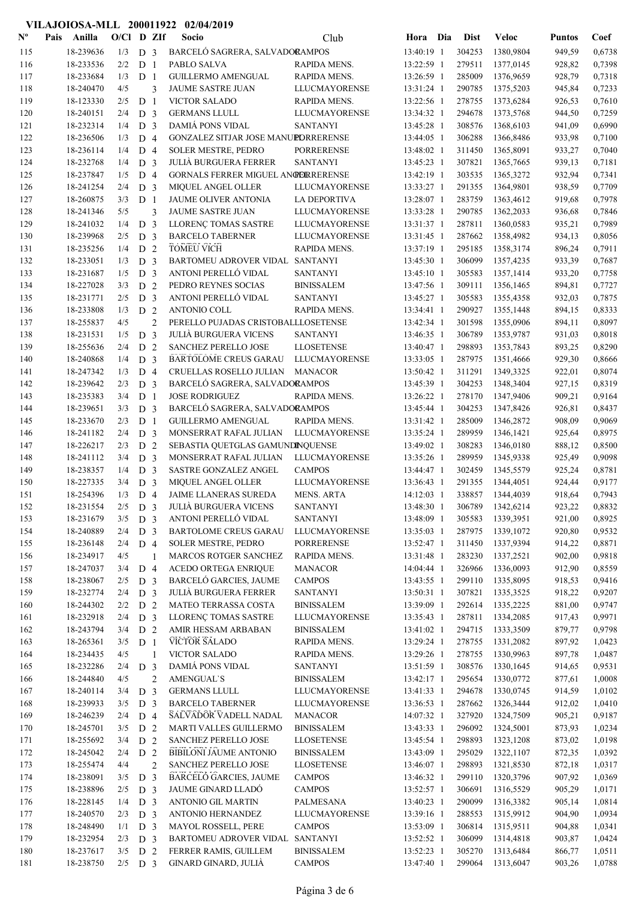#### Nº Pais Anilla O/Cl D ZIf Socio Club Hora Dia Dist Veloc VILAJOIOSA-MLL 200011922 02/04/2019 Pais Anilla Socio O/Cl D ZIf Puntos Coef Club Dist 115 18-239636 1/3 D 3 BARCELÓ SAGRERA, SALVADORAMPOS 13:40:19 1 304253 1380,9804 949,59 0,6738 116 18-233536 2/2 D 1 PABLO SALVA RAPIDA MENS. 13:22:59 1 279511 1377,0145 928,82 0,7398 117 18-233684 1/3 D 1 GUILLERMO AMENGUAL RAPIDA MENS. 13:26:59 1 285009 1376,9659 928,79 0,7318 118 18-240470 4/5 3 JAUME SASTRE JUAN LLUCMAYORENSE 13:31:24 1 290785 1375,5203 945,84 0,7233 119 18-123330 2/5 D 1 VICTOR SALADO 18-1232:56 1 278755 1373,6284 926,53 0,7610 120 18-240151 2/4 D 3 GERMANS LLULL LLUCMAYORENSE 13:34:32 1 294678 1373,5768 944,50 0,7259 121 18-232314 1/4 D 3 DAMIÁ PONS VIDAL SANTANYI 13:45:28 1 308576 1368,6103 941,09 0,6990 122 18-236506 1/3 D 4 GONZALEZ SITJAR JOSE MANUEDRRERENSE 13:44:05 1 306288 1366.8486 933.98 0.7100 123 18-236114 1/4 D 4 SOLER MESTRE, PEDRO PORRERENSE 13:48:02 1 311450 1365,8091 933.27 0,7040 124 18-232768 1/4 D 3 JULIÀ BURGUERA FERRER SANTANYI 13:45:23 1 307821 1365,7665 939,13 0,7181 125 18-237847 1/5 D 4 GORNALS FERRER MIGUEL ANGERERENSE 13:42:19 1 303535 1365,3272 932,94 0,7341<br>126 18-241254 2/4 D 3 MIOUEL ANGEL OLLER LLUCMAYORENSE 13:33:27 1 291355 1364,9801 938,59 0,7709 126 18-241254 2/4 D 3 MIQUEL ANGEL OLLER LLUCMAYORENSE 13:33:27 1 291355 1364,9801 938,59 0,7709 127 18-260875 3/3 D 1 JAUME OLIVER ANTONIA LA DEPORTIVA 13:28:07 1 283759 1363,4612 919,68 0,7978 128 JAUME SASTRE JUAN 18-241346 13:33:28 1 290785 5/5 3 LLUCMAYORENSE 1362,2033 936,68 0,7846 129 18-241032 1/4 D 3 LLORENÇ TOMAS SASTRE LLUCMAYORENSE 13:31:37 1 287811 1360,0583 935,21 0,7989 130 18-239968 2/5 D 3 BARCELO TABERNER LLUCMAYORENSE 13:31:45 1 287662 1358,4982 934,13 0,8056 **TOMEU VICH** 131 18-235256 1/4 D 2 TOMEU VICH RAPIDA MENS. 13:37:19 1 295185 1358,3174 896,24 0,7911 132 132 18-233051 1/3 **D** 3 BARTOMEU ADROVER VIDAL SANTANYI 13:45:30 1 306099 1357,4235 933,39 0,7687 133 1357,1414 933,20 0,7758 13:45:10 1 305583 1357,1414 933,20 0,7758 134 18-227028 3/3 D 2 PEDRO REYNES SOCIAS BINISSALEM 13:47:56 1 309111 1356,1465 894,81 0,7727<br>135 18-231771 2/5 D 3 ANTONI PERELLÓ VIDAL SANTANYI 13:45:27 1 305583 1355,4358 932,03 0,7875 135 135231771 2/5 **D 3** ANTONI PERELLÓ VIDAL SANTANYI 13:45:27 1 305583 1355.4358 932.03 0,7875 136 18-233808 1/3 D 2 ANTONIO COLL RAPIDA MENS. 13:34:41 1 290927 1355,1448 894,15 0,8333 137 138-255837 4/5 2 PERELLO PUJADAS CRISTOBALLLOSETENSE 13:42:34 1 301598 1355,0906 894,11 0,8097 138 138-231531 1/5 D 3 JULIÀ BURGUERA VICENS SANTANYI 13:46:35 1 306789 1353.9787 931.03 0.8018 139 18-255636 2/4 D 2 SANCHEZ PERELLO JOSE LLOSETENSE 13:40:47 1 298893 1353,7843 893,25 0,8290 140 18-240868 1/4 D 3 BARTOLOME CREUS GARAU LLUCMAYORENSE 13:33:05 1 287975 1351,4666 929,30 0,8666 141 18-247342 1/3 D 4 CRUELLAS ROSELLO JULIAN MANACOR 13:50:42 1 311291 1349,3325 922,01 0,8074 142 18-239642 2/3 D 3 BARCELÓ SAGRERA, SALVADORAMPOS 13:45:39 1 304253 1348,3404 927,15 0,8319 143 18-235383 3/4 D 1 JOSE RODRIGUEZ RAPIDA MENS. 13:26:22 1 278170 1347,9406 909,21 0,9164 144 18-239651 3/3 D 3 BARCELÓ SAGRERA, SALVADORAMPOS 13:45:44 1 304253 1347,8426 926.81 0,8437 145 18-233670 2/3 D 1 GUILLERMO AMENGUAL RAPIDA MENS. 13:31:42 1 285009 1346,2872 908,09 0,9069 146 18-241182 2/4 D 3 MONSERRAT RAFAL JULIAN LLUCMAYORENSE 13:35:24 1 289959 1346,1421 925,64 0,8975<br>147 18-226217 2/3 D 2 SEBASTIA OUETGLAS GAMUNDINOUENSE 13:49:02 1 308283 1346.0180 888.12 0.8500 147 18-226217 2/3 D 2 SEBASTIA QUETGLAS GAMUNDINQUENSE 13:49:02 1 308283 1346,0180 888,12 0,8500 148 18-241112 3/4 D 3 MONSERRAT RAFAL JULIAN LLUCMAYORENSE 13:35:26 1 289959 1345,9338 925,49 0,9098 149 18-238357 1/4 D 3 SASTRE GONZALEZ ANGEL CAMPOS 13:44:47 1 302459 1345,5579 925,24 0,8781 150 MIQUEL ANGEL OLLER 18-227335 13:36:43 1 291355 3/4 D 3 LLUCMAYORENSE 1344,4051 924,44 0,9177 151 18-254396 1/3 D 4 JAIME LLANERAS SUREDA MENS. ARTA 14:12:03 1 338857 1344,4039 918,64 0,7943 152 JULIÀ BURGUERA VICENS 18-231554 13:48:30 1 306789 2/5 D 3 SANTANYI 1342,6214 923,22 0,8832 153 18-231679 3/5 D 3 ANTONI PERELLÓ VIDAL SANTANYI 13:48:09 1 305583 1339,3951 921,00 0,8925 154 18-240889 2/4 D 3 BARTOLOME CREUS GARAU LLUCMAYORENSE 13:35:03 1 287975 1339,1072 920,80 0,9532 155 18-236148 2/4 D 4 SOLER MESTRE, PEDRO PORRERENSE 13:52:47 1 311450 1337,9394 914,22 0,8871<br>156 18-234917 4/5 1 MARCOS ROTGER SANCHEZ RAPIDA MENS. 13:31:48 1 283230 1337.2521 902.00 0.9818 156 18-234917 4/5 1 MARCOS ROTGER SANCHEZ RAPIDA MENS. 13:31:48 1 283230 1337,2521 902,00 0,9818 157 18-247037 3/4 D 4 ACEDO ORTEGA ENRIQUE MANACOR 14:04:44 1 326966 1336,0093 912,90 0,8559<br>158 18-238067 2/5 D 3 BARCELÓ GARCIES, JAUME CAMPOS 13:43:55 1 299110 1335.8095 918.53 0,9416 158 18-238067 2/5 D 3 BARCELÓ GARCIES, JAUME CAMPOS 13:43:55 1 299110 1335,8095 918,53 0,9416<br>159 18-232774 2/4 D 3 JULIÀ-BURGUERA-FERRER SANTANYI 13:50:31 1 307821 1335.3525 918.22 0.9207 159 JULIÀ BURGUERA FERRER 18-232774 13:50:31 1 307821 2/4 D 3 SANTANYI 1335,3525 918,22 0,9207 160 18-244302 2/2 D 2 MATEO TERRASSA COSTA BINISSALEM 13:39:09 1 292614 1335,2225 881,00 0,9747 161 LLORENÇ TOMAS SASTRE 18-232918 13:35:43 1 287811 2/4 D 3 LLUCMAYORENSE 1334,2085 917,43 0,9971 162 18-243794 3/4 D 2 AMIR HESSAM ARBABAN BINISSALEM 13:41:02 1 294715 1333,3509 879,77 0,9798 VICTOR SALADO 163 18-265361 3/5 D 1 VICTOR SALADO RAPIDA MENS. 13:29:24 1 278755 1331,2082 897,92 1,0423 164 VICTOR SALADO 18-234435 13:29:26 1 278755 4/5 1 RAPIDA MENS. 1330,9963 897,78 1,0487 165 18-232286 2/4 D 3 DAMIÁ PONS VIDAL SANTANYI 13:51:59 1 308576 1330,1645 914,65 0,9531 166 AMENGUAL`S 18-244840 13:42:17 1 295654 4/5 2 BINISSALEM 1330,0772 877,61 1,0008 167 18-240114 3/4 D 3 GERMANS LLULL LLUCMAYORENSE 13:41:33 1 294678 1330,0745 914,59 1,0102 168 18-239933 3/5 D 3 BARCELO TABERNER LLUCMAYORENSE 13:36:53 1 287662 1326,3444 912,02 1,0410 169 18-246239 2/4 D 4 SALVADOR VADELL NADAL MANACOR 14:07:32 1 327920 1324,7509 905,21 0,9187 170 18-245701 3/5 D 2 MARTI VALLES GUILLERMO BINISSALEM 13:43:33 1 296092 1324,5001 873,93 1,0234 171 18-255692 3/4 D 2 SANCHEZ PERELLO JOSE LLOSETENSE 13:45:54 1 298893 1323,1208 873,02 1,0198 172 18-245042 2/4 D 2 BIBILONI JAUME ANTONIO BINISSALEM 13:43:09 1 295029 1322,1107 872,35 1,0392 173 18-255474 4/4 2 SANCHEZ PERELLO JOSE LLOSETENSE 13:46:07 1 298893 1321,8530 872,18 1,0317 174 18-238091 3/5 D 3 BARCELÓ GARCIES, JAUME CAMPOS 13:46:32 1 299110 1320,3796 907,92 1,0369 175 18-238896 2/5 D 3 JAUME GINARD LLADÓ CAMPOS 13:52:57 1 306691 1316,5529 905,29 1,0171<br>176 18-228145 1/4 D 3 ANTONIO GILMARTIN PALMESANA 13:40:23 1 290099 1316,3382 905,14 1,0814 176 18-228145 1/4 D 3 ANTONIO GIL MARTIN PALMESANA 13:40:23 1 290099 1316,3382 905,14 1,0814<br>177 18-240570 2/3 D 3 ANTONIO HERNANDEZ LLUCMAYORENSE 13:39:16 1 288553 1315.9912 904.90 1.0934 177 ANTONIO HERNANDEZ 18-240570 13:39:16 1 288553 2/3 D 3 LLUCMAYORENSE 1315,9912 904,90 1,0934 178 18-248490 1/1 D 3 MAYOL ROSSELL, PERE CAMPOS 13:53:09 1 306814 1315,9511 904,88 1,0341 179 18-232954 2/3 D 3 BARTOMEU ADROVER VIDAL SANTANYI 13:52:52 1 306099 1314,4818 903,87 1,0424 180 18-237617 3/5 D 2 FERRER RAMIS, GUILLEM BINISSALEM 13:52:23 1 305270 1313,6484 866,77 1,0511 181 GINARD GINARD, JULIÀ 18-238750 13:47:40 1 299064 2/5 D 3 CAMPOS 1313,6047 903,26 1,0788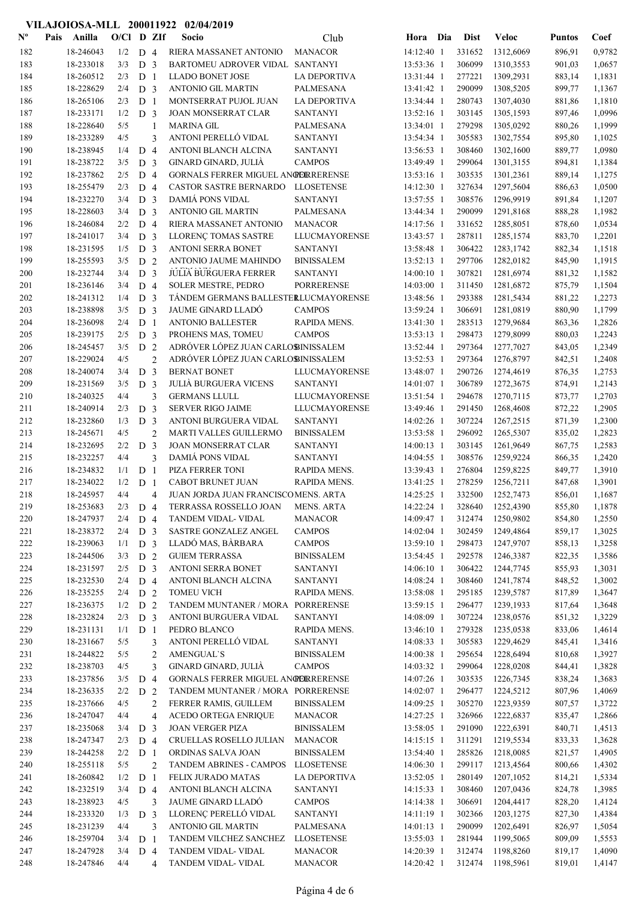### Nº Pais Anilla O/Cl D ZIf Socio Club Hora Dia Dist Veloc Pais Anilla Socio O/Cl D ZIf Puntos Coef Club Dist 182 18-246043 1/2 D 4 RIERA MASSANET ANTONIO MANACOR 14:12:40 1 331652 1312,6069 896.91 0,9782 183 18-233018 3/3 D 3 BARTOMEU ADROVER VIDAL SANTANYI 13:53:36 1 306099 1310,3553 901,03 1,0657 184 18-260512 2/3 D 1 LLADO BONET JOSE LA DEPORTIVA 13:31:44 1 277221 1309,2931 883,14 1,1831 185 18-228629 2/4 D 3 ANTONIO GIL MARTIN PALMESANA 13:41:42 1 290099 1308,5205 899,77 1,1367 186 18-265106 2/3 D 1 MONTSERRAT PUJOL JUAN LA DEPORTIVA 13:34:44 1 280743 1307,4030 881,86 1,1810 187 18-233171 1/2 D 3 JOAN MONSERRAT CLAR SANTANYI 13:52:16 1 303145 1305,1593 897,46 1,0996 188 18-228640 5/5 1 MARINA GIL PALMESANA 13:34:01 1 279298 1305,0292 880,26 1,1999 189 ANTONI PERELLÓ VIDAL 18-233289 13:54:34 1 305583 4/5 3 SANTANYI 1302,7554 895,80 1,1025 190 18-238945 1/4 D 4 ANTONI BLANCH ALCINA SANTANYI 13:56:53 1 308460 1302,1600 889,77 1,0980 191 18-238722 3/5 D 3 GINARD GINARD, JULIÀ CAMPOS 13:49:49 1 299064 1301,3155 894,81 1,1384 192 18-237862 2/5 D 4 GORNALS FERRER MIGUEL ANGERERENSE 13:53:16 1 303535 1301,2361 889,14 1,1275 193 18-255479 2/3 D 4 CASTOR SASTRE BERNARDO LLOSETENSE 14:12:30 1 327634 1297,5604 886,63 1,0500 194 18-232270 3/4 D 3 DAMIÁ PONS VIDAL SANTANYI 13:57:55 1 308576 1296,9919 891,84 1,1207 195 18-228603 3/4 D 3 ANTONIO GIL MARTIN PALMESANA 13:44:34 1 290099 1291,8168 888,28 1,1982 196 18-246084 2/2 D 4 RIERA MASSANET ANTONIO MANACOR 14:17:56 1 331652 1285,8051 878,60 1,0534 197 18-241017 3/4 D 3 LLORENÇ TOMAS SASTRE LLUCMAYORENSE 13:43:57 1 287811 1285,1574 883,70 1,2201 198 18-231595 1/5 D 3 ANTONI SERRA BONET SANTANYI 13:58:48 1 306422 1283,1742 882,34 1,1518 199 18-255593 3/5 D 2 ANTONIO JAUME MAHINDO BINISSALEM 13:52:13 1 297706 1282,0182 845,90 1,1915 200 18-232744 3/4 **D 3 JULIA BURGUERA FERRER SANTANYI** 14:00:10 1 307821 1281,6974 881,32 1,1582 201 18-236146 3/4 D 4 SOLER MESTRE, PEDRO PORRERENSE 14:03:00 1 311450 1281,6872 875,79 1,1504<br>202 18-241312 1/4 D 3 TÁNDEM GERMANS BALLESTERLUCMAYORENSE 13:48:56 1 293388 1281,5434 881,22 1,2273 18-241312 1/4 D 3 TÁNDEM GERMANS BALLESTER LUCMAYORENSE 13:48:56 1 293388 1281,5434 881,22 1,2273 203 18-238898 3/5 D 3 JAUME GINARD LLADÓ CAMPOS 13:59:24 1 306691 1281,0819 880,90 1,1799 204 18-236098 2/4 D 1 ANTONIO BALLESTER RAPIDA MENS. 13:41:30 1 283513 1279,9684 863,36 1,2826 205 18-239175 2/5 D 3 PROHENS MAS, TOMEU CAMPOS 13:53:13 1 298473 1279,8099 880,03 1,2243 206 18-245457 3/5 D 2 ADRÓVER LÓPEZ JUAN CARLOS INISSALEM 13:52:44 1 297364 1277,7027 843,05 1,2349 207 ADRÓVER LÓPEZ JUAN CARLOS 18-229024 13:52:53 1 297364 4/5 2 BINISSALEM 1276,8797 842,51 1,2408 208 18-240074 3/4 D 3 BERNAT BONET LLUCMAYORENSE 13:48:07 1 290726 1274,4619 876,35 1,2753 209 18-231569 3/5 D 3 JULIÀ BURGUERA VICENS SANTANYI 14:01:07 1 306789 1272,3675 874,91 1,2143 210 18-240325 1/4 3 GERMANS LLULL LLUCMAYORENSE 13:51:54 1 294678 1270,7115 873,77 1,2703 211 18-240914 2/3 D 3 SERVER RIGO JAIME LLUCMAYORENSE 13:49:46 1 291450 1268,4608 872,22 1,2905 212 18-232860 1/3 D 3 ANTONI BURGUERA VIDAL SANTANYI 14:02:26 1 307224 1267,2515 871,39 1,2300 213 18-245671 4/5 2 MARTI VALLES GUILLERMO BINISSALEM 13:53:58 1 296092 1265.5307 835.02 1.2823 214 18-232695 2/2 D 3 JOAN MONSERRAT CLAR SANTANYI 14:00:13 1 303145 1261,9649 867,75 1,2583 215 DAMIÁ PONS VIDAL 18-232257 14:04:55 1 308576 4/4 3 SANTANYI 1259,9224 866,35 1,2420 216 18-234832 1/1 D 1 PIZA FERRER TONI RAPIDA MENS. 13:39:43 1 276804 1259,8225 849,77 1,3910 217 18-234022 1/2 D 1 CABOT BRUNET JUAN RAPIDA MENS. 13:41:25 1 278259 1256,7211 847,68 1,3901 218 18-245957 4/4 4 JUAN JORDA JUAN FRANCISCO MENS. ARTA 14:25:25 1 332500 1252.7473 856.01 1.1687 219 18-253683 2/3 D 4 TERRASSA ROSSELLO JOAN MENS. ARTA 14:22:24 1 328640 1252,4390 855,80 1,1878 220 18-247937 2/4 D 4 TANDEM VIDAL- VIDAL MANACOR 14:09:47 1 312474 1250.9802 854.80 1.2550 221 18-238372 2/4 D 3 SASTRE GONZALEZ ANGEL CAMPOS 14:02:04 1 302459 1249,4864 859,17 1,3025 222 18-239063 1/1 D 3 LLADÓ MAS, BÀRBARA CAMPOS 13:59:10 1 298473 1247,9707 858,13 1,3258<br>223 18-244506 3/3 D 2 GUIEM-TERRASSA BINISSALEM 13:54:45 1 292578 1246.3387 822.35 1.3586 223 18-244506 3/3 D 2 GUIEM TERRASSA BINISSALEM 13:54:45 1 292578 1246,3387 822,35 1,3586 224 18-231597 2/5 D 3 ANTONI SERRA BONET SANTANYI 14:06:10 1 306422 1244,7745 855,93 1,3031 225 18-232530 2/4 D 4 ANTONI BLANCH ALCINA SANTANYI 14:08:24 1 308460 1241,7874 848,52 1,3002 226 18-235255 2/4 D 2 TOMEU VICH RAPIDA MENS. 13:58:08 1 295185 1239,5787 817,89 1,3647 227 18-236375 1/2 D 2 TANDEM MUNTANER / MORA PORRERENSE 13:59:15 1 296477 1239,1933 817,64 1,3648 228 18-232824 2/3 D 3 ANTONI BURGUERA VIDAL SANTANYI 14:08:09 1 307224 1238,0576 851,32 1,3229 229 18-231131 1/1 D 1 PEDRO BLANCO RAPIDA MENS. 13:46:10 1 279328 1235,0538 833,06 1,4614 230 18-231667 5/5 3 ANTONI PERELLÓ VIDAL SANTANYI 14:08:33 1 305583 1229,4629 845,41 1,3416 231 18-244822 5/5 2 AMENGUAL`S BINISSALEM 14:00:38 1 295654 1228,6494 810,68 1,3927 232 GINARD GINARD, JULIÀ 18-238703 14:03:32 1 299064 4/5 3 CAMPOS 1228,0208 844,41 1,3828 233 18-237856 3/5 D 4 GORNALS FERRER MIGUEL ANGERERENSE 14:07:26 1 303535 1226,7345 838.24 1,3683 234 18-236335 2/2 D 2 TANDEM MUNTANER / MORA PORRERENSE 14:02:07 1 296477 1224,5212 807,96 1,4069 235 FERRER RAMIS, GUILLEM 18-237666 14:09:25 1 305270 4/5 2 BINISSALEM 1223,9359 807,57 1,3722 236 18-247047 4/4 4 ACEDO ORTEGA ENRIQUE MANACOR 14:27:25 1 326966 1222,6837 835,47 1,2866 237 18-235068 3/4 D 3 JOAN VERGER PIZA BINISSALEM 13:58:05 1 291090 1222,6391 840,71 1,4513 238 18-247347 2/3 D 4 CRUELLAS ROSELLO JULIAN MANACOR 14:15:15 1 311291 1219,5534 833,33 1,3628 239 18-244258 2/2 D 1 ORDINAS SALVA JOAN BINISSALEM 13:54:40 1 285826 1218,0085 821,57 1,4905 240 18-255118 5/5 2 TANDEM ABRINES - CAMPOS LLOSETENSE 14:06:30 1 299117 1213,4564 800.66 1.4302 241 18-260842 1/2 D 1 FELIX JURADO MATAS LA DEPORTIVA 13:52:05 1 280149 1207,1052 814,21 1,5334 242 18-232519 3/4 D 4 ANTONI BLANCH ALCINA SANTANYI 14:15:33 1 308460 1207,0436 824,78 1,3985<br>243 18-238923 4/5 3 JAUMEGINARD LLADÓ CAMPOS 14:14:38 1 306691 1204.4417 828.20 1.4124 243 JAUME GINARD LLADÓ 18-238923 14:14:38 1 306691 4/5 3 CAMPOS 1204,4417 828,20 1,4124 244 18-233320 1/3 D 3 LLORENÇ PERELLÓ VIDAL SANTANYI 14:11:19 1 302366 1203,1275 827,30 1,4384 245 18-231239 4/4 3 ANTONIO GIL MARTIN PALMESANA 14:01:13 1 290099 1202,6491 826,97 1,5054 246 18-259704 3/4 D 1 TANDEM VILCHEZ SANCHEZ LLOSETENSE 13:55:03 1 281944 1199.5065 809.09 1.5553 247 18-247928 3/4 D 4 TANDEM VIDAL- VIDAL MANACOR 14:20:39 1 312474 1198,8260 819,17 1,4090

VILAJOIOSA-MLL 200011922 02/04/2019

### Página 4 de 6

248 TANDEM VIDAL- VIDAL 18-247846 14:20:42 1 312474 4/4 4 MANACOR 1198,5961 819,01 1,4147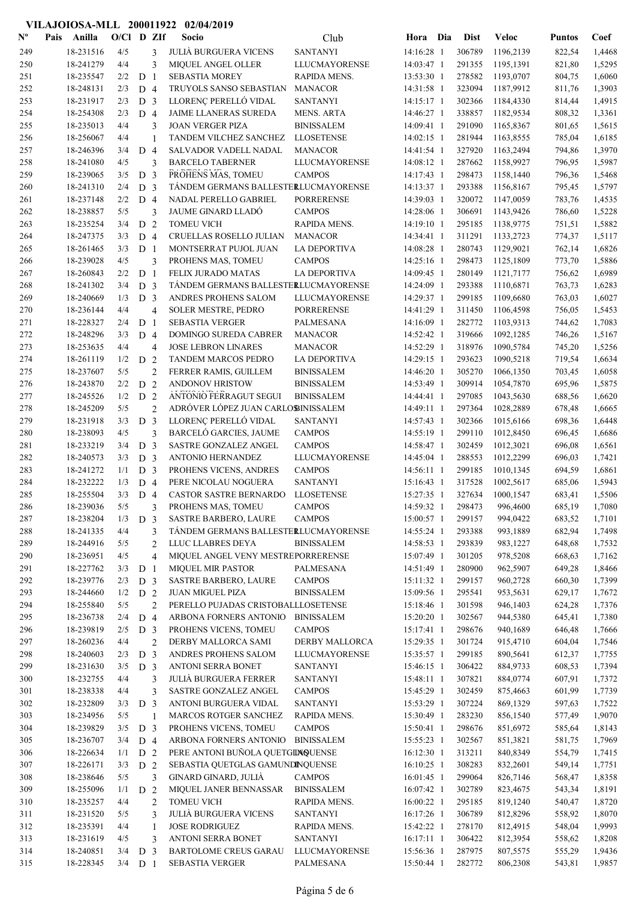## VILAJOIOSA-MLL 200011922 02/04/2019

| $N^{\text{o}}$ | Pais | Anilla    | $O/C1$ D ZIf |                |                | Socio                                | Club                  | Hora Dia     | <b>Dist</b> | Veloc     | <b>Puntos</b> | Coef   |
|----------------|------|-----------|--------------|----------------|----------------|--------------------------------------|-----------------------|--------------|-------------|-----------|---------------|--------|
| 249            |      | 18-231516 | 4/5          |                | 3              | <b>JULIÀ BURGUERA VICENS</b>         | <b>SANTANYI</b>       | 14:16:28 1   | 306789      | 1196,2139 | 822,54        | 1,4468 |
| 250            |      | 18-241279 | 4/4          |                | 3              | MIQUEL ANGEL OLLER                   | <b>LLUCMAYORENSE</b>  | 14:03:47 1   | 291355      | 1195,1391 | 821,80        | 1,5295 |
| 251            |      | 18-235547 | 2/2          | D <sub>1</sub> |                | <b>SEBASTIA MOREY</b>                | RAPIDA MENS.          | 13:53:30 1   | 278582      | 1193,0707 | 804,75        | 1,6060 |
| 252            |      | 18-248131 | 2/3          | D 4            |                | TRUYOLS SANSO SEBASTIAN              | <b>MANACOR</b>        | 14:31:58 1   | 323094      | 1187,9912 | 811,76        | 1,3903 |
| 253            |      | 18-231917 | 2/3          | D <sub>3</sub> |                | LLORENÇ PERELLÓ VIDAL                | <b>SANTANYI</b>       | 14:15:17 1   | 302366      | 1184,4330 | 814,44        | 1,4915 |
| 254            |      | 18-254308 | 2/3          | D <sub>4</sub> |                | JAIME LLANERAS SUREDA                | <b>MENS. ARTA</b>     | 14:46:27 1   | 338857      | 1182,9534 | 808,32        | 1,3361 |
| 255            |      | 18-235013 | 4/4          |                | 3              | <b>JOAN VERGER PIZA</b>              | <b>BINISSALEM</b>     | 14:09:41 1   | 291090      | 1165,8367 | 801,65        | 1,5615 |
| 256            |      | 18-256067 | 4/4          |                | $\mathbf{1}$   | TANDEM VILCHEZ SANCHEZ               | <b>LLOSETENSE</b>     | 14:02:15 1   | 281944      | 1163,8555 | 785,04        | 1,6185 |
| 257            |      | 18-246396 | 3/4          | D <sub>4</sub> |                | SALVADOR VADELL NADAL                | <b>MANACOR</b>        | 14:41:54 1   | 327920      | 1163,2494 | 794,86        | 1,3970 |
| 258            |      | 18-241080 | 4/5          |                | 3              | <b>BARCELO TABERNER</b>              | LLUCMAYORENSE         | 14:08:12 1   | 287662      | 1158,9927 | 796,95        | 1,5987 |
| 259            |      | 18-239065 | 3/5          | D              | 3              | PROHENS MAS, TOMEU                   | <b>CAMPOS</b>         | 14:17:43 1   | 298473      | 1158,1440 | 796,36        | 1,5468 |
| 260            |      | 18-241310 | 2/4          | D <sub>3</sub> |                | TÁNDEM GERMANS BALLESTERLUCMAYORENSE |                       | 14:13:37 1   | 293388      | 1156,8167 | 795,45        | 1,5797 |
| 261            |      | 18-237148 | 2/2          | D 4            |                | NADAL PERELLO GABRIEL                | <b>PORRERENSE</b>     | 14:39:03 1   | 320072      | 1147,0059 | 783,76        | 1,4535 |
| 262            |      | 18-238857 | 5/5          |                | 3              | <b>JAUME GINARD LLADÓ</b>            | <b>CAMPOS</b>         | 14:28:06 1   | 306691      | 1143,9426 | 786,60        | 1,5228 |
| 263            |      | 18-235254 | 3/4          | D <sub>2</sub> |                | <b>TOMEU VICH</b>                    | RAPIDA MENS.          | 14:19:10 1   | 295185      | 1138,9775 | 751,51        | 1,5882 |
| 264            |      | 18-247375 | 3/3          | D 4            |                | CRUELLAS ROSELLO JULIAN              | <b>MANACOR</b>        | 14:34:41 1   | 311291      | 1133,2723 | 774,37        | 1,5117 |
| 265            |      | 18-261465 | 3/3          | D <sub>1</sub> |                | MONTSERRAT PUJOL JUAN                | <b>LA DEPORTIVA</b>   | 14:08:28 1   | 280743      | 1129,9021 | 762,14        | 1,6826 |
| 266            |      | 18-239028 | 4/5          |                | 3              | PROHENS MAS, TOMEU                   | <b>CAMPOS</b>         | 14:25:16 1   | 298473      | 1125,1809 | 773,70        | 1,5886 |
| 267            |      | 18-260843 | 2/2          | D <sub>1</sub> |                | FELIX JURADO MATAS                   | LA DEPORTIVA          | 14:09:45 1   | 280149      | 1121,7177 | 756,62        | 1,6989 |
| 268            |      | 18-241302 | 3/4          | D <sub>3</sub> |                | TÁNDEM GERMANS BALLESTERLUCMAYORENSE |                       | 14:24:09 1   | 293388      | 1110,6871 | 763,73        | 1,6283 |
| 269            |      | 18-240669 | 1/3          | D <sub>3</sub> |                | ANDRES PROHENS SALOM                 | LLUCMAYORENSE         | 14:29:37 1   | 299185      | 1109,6680 | 763,03        | 1,6027 |
| 270            |      | 18-236144 | 4/4          |                | $\overline{4}$ | SOLER MESTRE, PEDRO                  | <b>PORRERENSE</b>     | 14:41:29 1   | 311450      | 1106,4598 | 756,05        | 1,5453 |
| 271            |      | 18-228327 | 2/4          | D <sub>1</sub> |                | <b>SEBASTIA VERGER</b>               | <b>PALMESANA</b>      | 14:16:09 1   | 282772      | 1103,9313 | 744,62        | 1,7083 |
| 272            |      | 18-248296 | 3/3          | D <sub>4</sub> |                | DOMINGO SUREDA CABRER                | <b>MANACOR</b>        | 14:52:42 1   | 319666      | 1092,1285 | 746,26        | 1,5167 |
| 273            |      | 18-253635 | 4/4          |                | $\overline{4}$ | <b>JOSE LEBRON LINARES</b>           | <b>MANACOR</b>        | 14:52:29 1   | 318976      | 1090,5784 | 745,20        | 1,5256 |
| 274            |      | 18-261119 | 1/2          | D <sub>2</sub> |                | <b>TANDEM MARCOS PEDRO</b>           | <b>LA DEPORTIVA</b>   | 14:29:15 1   | 293623      | 1090,5218 | 719,54        | 1,6634 |
| 275            |      | 18-237607 | 5/5          |                | $\overline{2}$ | FERRER RAMIS, GUILLEM                | <b>BINISSALEM</b>     | 14:46:20 1   | 305270      | 1066,1350 | 703,45        | 1,6058 |
| 276            |      | 18-243870 | 2/2          | D <sub>2</sub> |                | ANDONOV HRISTOW                      | <b>BINISSALEM</b>     | 14:53:49 1   | 309914      | 1054,7870 | 695,96        | 1,5875 |
| 277            |      | 18-245526 | 1/2          | D <sub>2</sub> |                | ANTONIO FERRAGUT SEGUI               | <b>BINISSALEM</b>     | 14:44:41 1   | 297085      | 1043,5630 | 688,56        | 1,6620 |
| 278            |      | 18-245209 | 5/5          |                | $\overline{2}$ | ADRÓVER LÓPEZ JUAN CARLOSINISSALEM   |                       | 14:49:11 1   | 297364      | 1028,2889 | 678,48        | 1,6665 |
| 279            |      | 18-231918 | 3/3          | D <sub>3</sub> |                | LLORENÇ PERELLÓ VIDAL                | <b>SANTANYI</b>       | 14:57:43 1   | 302366      | 1015,6166 | 698,36        | 1,6448 |
| 280            |      | 18-238093 | 4/5          |                | 3              | BARCELÓ GARCIES, JAUME               | <b>CAMPOS</b>         | 14:55:19 1   | 299110      | 1012,8450 | 696,45        | 1,6686 |
| 281            |      | 18-233219 | 3/4          | D <sub>3</sub> |                | SASTRE GONZALEZ ANGEL                | <b>CAMPOS</b>         | 14:58:47 1   | 302459      | 1012,3021 | 696,08        | 1,6561 |
| 282            |      | 18-240573 | 3/3          | D <sub>3</sub> |                | ANTONIO HERNANDEZ                    | <b>LLUCMAYORENSE</b>  | 14:45:04 1   | 288553      | 1012,2299 | 696,03        | 1,7421 |
| 283            |      | 18-241272 | 1/1          | D <sub>3</sub> |                | PROHENS VICENS, ANDRES               | <b>CAMPOS</b>         | 14:56:11 1   | 299185      | 1010,1345 | 694,59        | 1,6861 |
| 284            |      | 18-232222 | 1/3          | D <sub>4</sub> |                | PERE NICOLAU NOGUERA                 | <b>SANTANYI</b>       | 15:16:43 1   | 317528      | 1002,5617 | 685,06        | 1,5943 |
| 285            |      | 18-255504 | 3/3          | D <sub>4</sub> |                | CASTOR SASTRE BERNARDO               | <b>LLOSETENSE</b>     | 15:27:35 1   | 327634      | 1000,1547 | 683,41        | 1,5506 |
| 286            |      | 18-239036 | 5/5          |                | 3              | PROHENS MAS, TOMEU                   | <b>CAMPOS</b>         | 14:59:32 1   | 298473      | 996,4600  | 685,19        | 1,7080 |
| 287            |      | 18-238204 | 1/3          | D 3            |                | <b>SASTRE BARBERO, LAURE</b>         | <b>CAMPOS</b>         | 15:00:57 1   | 299157      | 994,0422  | 683,52        | 1,7101 |
| 288            |      | 18-241335 | 4/4          |                | 3              | TÁNDEM GERMANS BALLESTERLUCMAYORENSE |                       | 14:55:24 1   | 293388      | 993,1889  | 682,94        | 1,7498 |
| 289            |      | 18-244916 | 5/5          |                | 2              | LLUC LLABRES DEYA                    | <b>BINISSALEM</b>     | 14:58:53 1   | 293839      | 983,1227  | 648,68        | 1,7532 |
| 290            |      | 18-236951 | 4/5          |                | $\overline{4}$ | MIQUEL ANGEL VENY MESTREPORRERENSE   |                       | 15:07:49 1   | 301205      | 978,5208  | 668,63        | 1,7162 |
| 291            |      | 18-227762 | 3/3          | D <sub>1</sub> |                | <b>MIQUEL MIR PASTOR</b>             | PALMESANA             | 14:51:49 1   | 280900      | 962,5907  | 649,28        | 1,8466 |
| 292            |      | 18-239776 | 2/3          | D <sub>3</sub> |                | SASTRE BARBERO, LAURE                | <b>CAMPOS</b>         | 15:11:32 1   | 299157      | 960,2728  | 660,30        | 1,7399 |
| 293            |      | 18-244660 | 1/2          | D 2            |                | <b>JUAN MIGUEL PIZA</b>              | <b>BINISSALEM</b>     | 15:09:56 1   | 295541      | 953,5631  | 629,17        | 1,7672 |
| 294            |      | 18-255840 | 5/5          |                | $\overline{2}$ | PERELLO PUJADAS CRISTOBALLLOSETENSE  |                       | 15:18:46 1   | 301598      | 946,1403  | 624,28        | 1,7376 |
| 295            |      | 18-236738 | 2/4          | D 4            |                | ARBONA FORNERS ANTONIO               | <b>BINISSALEM</b>     | 15:20:20 1   | 302567      | 944,5380  | 645,41        | 1,7380 |
| 296            |      | 18-239819 | 2/5          | D <sub>3</sub> |                | PROHENS VICENS, TOMEU                | <b>CAMPOS</b>         | 15:17:41 1   | 298676      | 940,1689  | 646,48        | 1,7666 |
| 297            |      | 18-260236 | 4/4          |                | $\overline{2}$ | DERBY MALLORCA SAMI                  | <b>DERBY MALLORCA</b> | 15:29:35 1   | 301724      | 915,4710  | 604,04        | 1,7546 |
| 298            |      | 18-240603 | 2/3          | D <sub>3</sub> |                | ANDRES PROHENS SALOM                 | LLUCMAYORENSE         | 15:35:57 1   | 299185      | 890,5641  | 612,37        | 1,7755 |
| 299            |      | 18-231630 | 3/5          | D <sub>3</sub> |                | ANTONI SERRA BONET                   | <b>SANTANYI</b>       | 15:46:15 1   | 306422      | 884,9733  | 608,53        | 1,7394 |
| 300            |      | 18-232755 | 4/4          |                | 3              | <b>JULIÀ BURGUERA FERRER</b>         | <b>SANTANYI</b>       | 15:48:11 1   | 307821      | 884,0774  | 607,91        | 1,7372 |
| 301            |      | 18-238338 | 4/4          |                | 3              | SASTRE GONZALEZ ANGEL                | <b>CAMPOS</b>         | 15:45:29 1   | 302459      | 875,4663  | 601,99        | 1,7739 |
| 302            |      | 18-232809 | 3/3          | D <sub>3</sub> |                | ANTONI BURGUERA VIDAL                | <b>SANTANYI</b>       | 15:53:29 1   | 307224      | 869,1329  | 597,63        | 1,7522 |
| 303            |      | 18-234956 | 5/5          |                | -1             | MARCOS ROTGER SANCHEZ                | RAPIDA MENS.          | 15:30:49 1   | 283230      | 856,1540  | 577,49        | 1,9070 |
| 304            |      | 18-239829 | 3/5          | D <sub>3</sub> |                | PROHENS VICENS, TOMEU                | <b>CAMPOS</b>         | 15:50:41 1   | 298676      | 851,6972  | 585,64        | 1,8143 |
| 305            |      | 18-236707 | 3/4          | D <sub>4</sub> |                | ARBONA FORNERS ANTONIO               | <b>BINISSALEM</b>     | $15:55:23$ 1 | 302567      | 851,3821  | 581,75        | 1,7969 |
| 306            |      | 18-226634 | 1/1          | D 2            |                | PERE ANTONI BUÑOLA QUETGINQUENSE     |                       | $16:12:30$ 1 | 313211      | 840,8349  | 554,79        | 1,7415 |
| 307            |      | 18-226171 | 3/3          | D <sub>2</sub> |                | SEBASTIA QUETGLAS GAMUNDINQUENSE     |                       | $16:10:25$ 1 | 308283      | 832,2601  | 549,14        | 1,7751 |
| 308            |      | 18-238646 | 5/5          |                | 3              | GINARD GINARD, JULIÀ                 | <b>CAMPOS</b>         | 16:01:45 1   | 299064      | 826,7146  | 568,47        | 1,8358 |
| 309            |      | 18-255096 | 1/1          | D 2            |                | MIQUEL JANER BENNASSAR               | <b>BINISSALEM</b>     | 16:07:42 1   | 302789      | 823,4675  | 543,34        | 1,8191 |
| 310            |      | 18-235257 | 4/4          |                | $\overline{2}$ | <b>TOMEU VICH</b>                    | RAPIDA MENS.          | 16:00:22 1   | 295185      | 819,1240  | 540,47        | 1,8720 |
| 311            |      | 18-231520 | 5/5          |                | 3              | <b>JULIÀ BURGUERA VICENS</b>         | <b>SANTANYI</b>       | 16:17:26 1   | 306789      | 812,8296  | 558,92        | 1,8070 |
| 312            |      | 18-235391 | 4/4          |                | 1              | <b>JOSE RODRIGUEZ</b>                | RAPIDA MENS.          | 15:42:22 1   | 278170      | 812,4915  | 548,04        | 1,9993 |
| 313            |      | 18-231619 | 4/5          |                | 3              | ANTONI SERRA BONET                   | <b>SANTANYI</b>       | $16:17:11$ 1 | 306422      | 812,3954  | 558,62        | 1,8208 |
| 314            |      | 18-240851 | 3/4          | D <sub>3</sub> |                | <b>BARTOLOME CREUS GARAU</b>         | LLUCMAYORENSE         | 15:56:36 1   | 287975      | 807,5575  | 555,29        | 1,9436 |
| 315            |      | 18-228345 | $3/4$ D 1    |                |                | SEBASTIA VERGER                      | PALMESANA             | 15:50:44 1   | 282772      | 806,2308  | 543,81        | 1,9857 |
|                |      |           |              |                |                |                                      |                       |              |             |           |               |        |